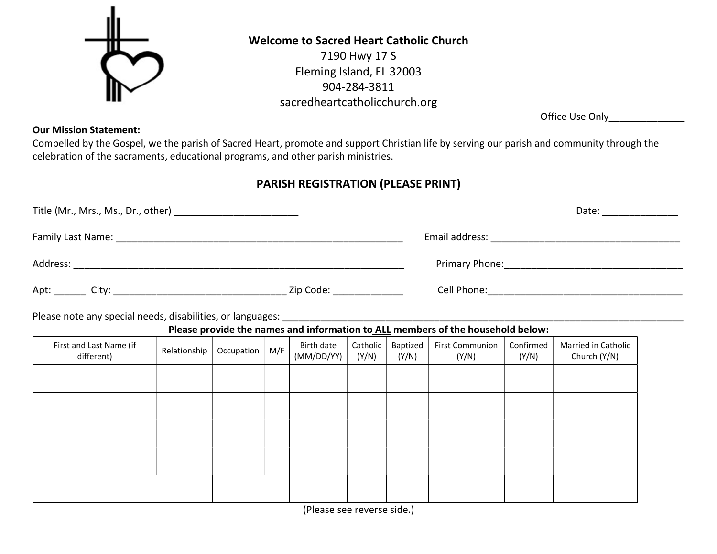

## Welcome to Sacred Heart Catholic Church

7190 Hwy 17 S Fleming Island, FL 32003 904-284-3811 sacredheartcatholicchurch.org

Office Use Only\_\_\_\_\_\_\_\_\_\_\_\_\_\_

## Our Mission Statement:

Compelled by the Gospel, we the parish of Sacred Heart, promote and support Christian life by serving our parish and community through the celebration of the sacraments, educational programs, and other parish ministries.

## PARISH REGISTRATION (PLEASE PRINT)

| Title (Mr., Mrs., Ms., Dr., other) ___________________________ |           |                | Date: _______________ |
|----------------------------------------------------------------|-----------|----------------|-----------------------|
| Family Last Name:                                              |           | Email address: |                       |
| Address:                                                       |           |                |                       |
| Apt:<br>City:                                                  | Zip Code: | Cell Phone:    |                       |

Please note any special needs, disabilities, or languages:

Please provide the names and information to ALL members of the household below:

| First and Last Name (if<br>different) | Relationship | Occupation | M/F | Birth date<br>(MM/DD/YY) | Catholic<br>(Y/N) | Baptized<br>(Y/N) | <b>First Communion</b><br>(Y/N) | Confirmed<br>(Y/N) | Married in Catholic<br>Church (Y/N) |
|---------------------------------------|--------------|------------|-----|--------------------------|-------------------|-------------------|---------------------------------|--------------------|-------------------------------------|
|                                       |              |            |     |                          |                   |                   |                                 |                    |                                     |
|                                       |              |            |     |                          |                   |                   |                                 |                    |                                     |
|                                       |              |            |     |                          |                   |                   |                                 |                    |                                     |
|                                       |              |            |     |                          |                   |                   |                                 |                    |                                     |
|                                       |              |            |     |                          |                   |                   |                                 |                    |                                     |